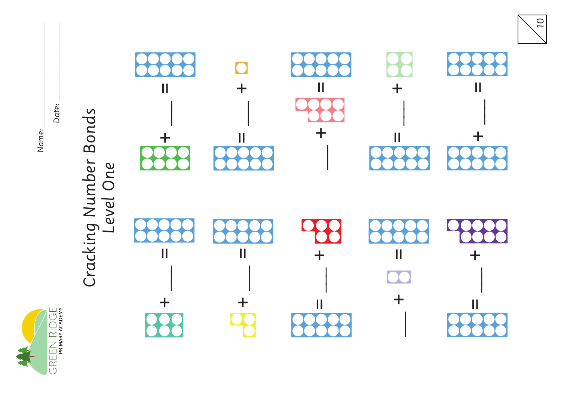

Name:

Date:

# Cracking Number Bonds<br>Level One



 $\boxed{O}$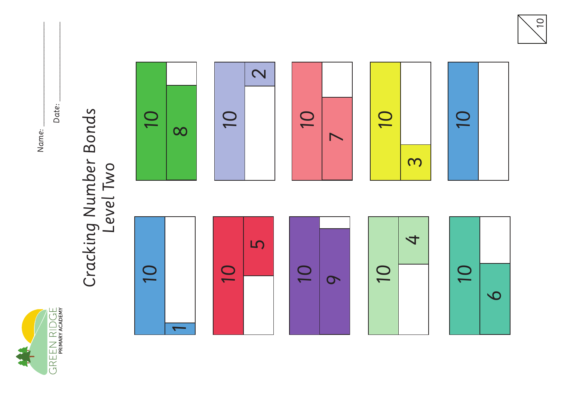

Date: \_\_\_\_\_\_\_\_\_\_\_\_\_\_\_\_\_\_\_\_\_\_

### Cracking Number Bonds<br>Level Two Cracking Number Bonds Level Two



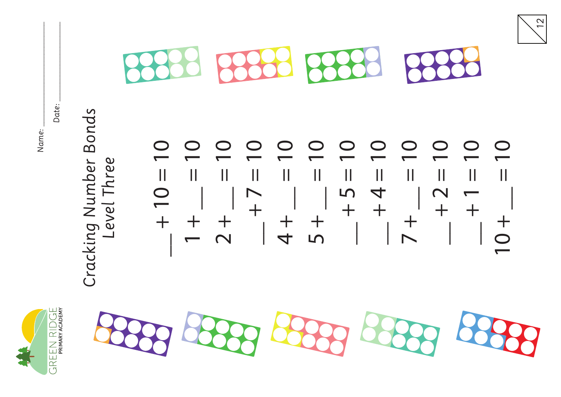

Date: \_\_\_\_\_\_\_\_\_\_\_\_\_\_\_\_\_\_\_\_\_\_







12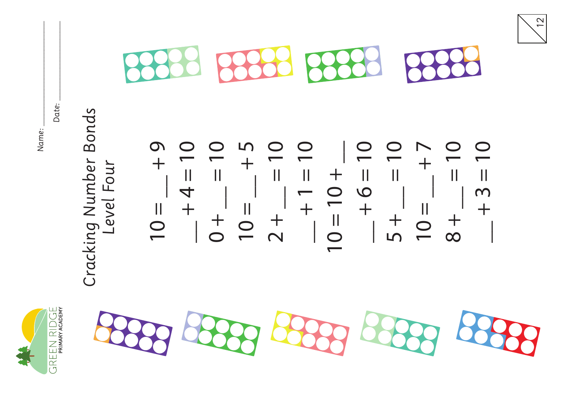

Date: \_\_\_\_\_\_\_\_\_\_\_\_\_\_\_\_\_\_\_\_\_\_

#### Bonds Cracking Number Bonds Cracking Number Level Four Level Four

 $\Omega$  $10 = 10 +$  $0 = \_ +9$  $-$  + 4  $-$  10  $0 = 10$ 5  $2 + \underline{\hspace{1cm}} = 10$  $-$  +  $-$  10 \_\_ + 6 = 10  $5 + \_ = 10$  $10 = 1$  $8 + 2 = 10$  $\bigcirc$  $- + 3 = 10$  $\bigcirc$  $10 = 10$  $\overline{\mathbb{I}}$  $\ddag$  $\pm$  $\ddag$  $= 9 +$  $\overline{\mathbf{I}}$  $\frac{1}{2}$  $\mathbf{I}$  $\frac{1}{1}$  $\frac{1}{2}$  $\pm$  $\begin{array}{c} \hline \end{array}$  $\frac{4}{4}$  $10 = 10$  $\frac{1}{2}$  $10 =$  $10 =$  $10 =$  $+$ <br>5+  $\begin{array}{c} + \\ 0 \end{array}$  $\frac{1}{2}$  $+\frac{1}{\infty}$ 



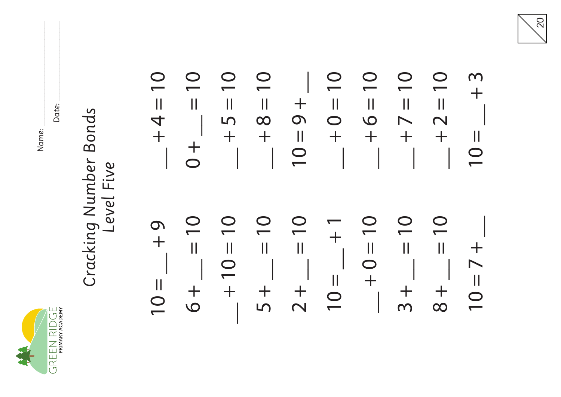

Date: \_\_\_\_\_\_\_\_\_\_\_\_\_\_\_\_\_\_\_\_\_\_

#### Cracking Number Bonds Cracking Number Bonds Level Five Level Five

 $\bf \overline{O}$  $\overline{\phantom{0}}$  $\overline{\phantom{0}}$  $\overline{\mathbf{C}}$  $\overline{\phantom{0}}$  $\overline{\phantom{0}}$ m  $- + 9 = 01$  $-$  +  $+$   $0 = 10$  $-15 + -$ \_\_ + 8 = 10 \_\_ + 0 = 10  $-10$  +  $-$  + 7 = 10  $\bigcirc$  $- + 2 = 10$  $10 = -13$  $\ddot{}$  $+$  $\mathop{\textstyle\prod}$  $\frac{1}{2}$  $\mathbf{||}$  $\overline{\mathbf{u}}$  $\frac{1}{2}$  $\label{eq:1} \prod_{i=1}^n \left\{ \prod_{i=1}^n \frac{1}{n_i} \right\}$  $\mathbf{||}$  $+4=$  $\Omega$  $\overline{O}$  $\infty$  $\overline{\mathbf{C}}$  $\overline{\phantom{a}}$  $\mathsf{L}\Omega$  $\overline{\mathsf{N}}$  $\ddot{}$  $\ddot{}$  $\mathop{\rm II}\nolimits$  $\ddot{}$  $\ddot{}$  $\ddot{\phantom{1}}$  $\begin{array}{c} \hline \end{array}$  $\overline{+}$  $\frac{+}{0}$  $\overline{\overline{C}}$  $\overline{\overline{0}}$  $\overline{\phantom{0}}$  $\overline{\phantom{0}}$  $\overline{\phantom{0}}$  $= 10$  $= 10$  $10 = 10$  $6 + \_ = 10$ \_\_ + 10 = 10  $5 + \_ = 10$  $2 + \underline{\hspace{1cm}} = 10$ \_\_ + 0 = 10  $\overline{\phantom{0}}$  $3 + \_ = 10$  $8 + 2 = 10$  $10 = 7 +$  $\bf \Omega$  $\frac{1}{1}$  $\frac{6}{1}$  $10 =$   $-$  + 1  $\frac{1}{2}$  $\left| {}\right|$  $\prod$  $\begin{array}{c} \hline \end{array}$  $\begin{array}{c} \hline \end{array}$  $\ddag$  $\overline{\mathbf{C}}$  $\overline{\mathbf{O}}$  $\triangleright$  $\begin{array}{c} \hline \end{array}$  $\ddot{}$  $\begin{array}{c} \hline \end{array}$  $10 =$  $\frac{+}{5}$  $+\frac{1}{6}$  $+$  $\frac{1}{2}$  $\frac{1}{3}$  $+\frac{1}{\infty}$  $\frac{1}{1}$  $\overline{\overline{C}}$ 

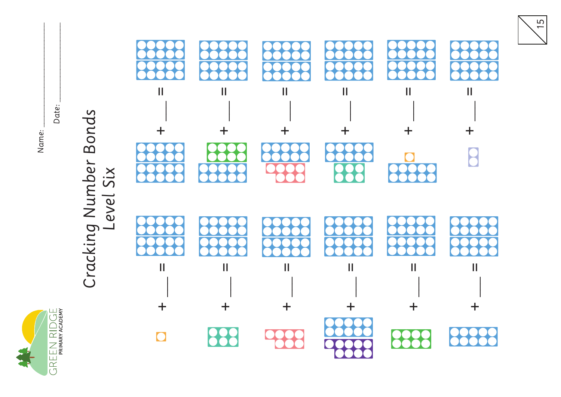GREEN RIDGE

Name:

Date:



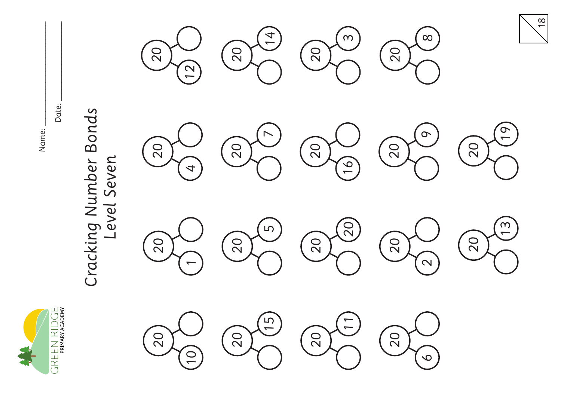

Date: \_\_\_\_\_\_\_\_\_\_\_\_\_\_\_\_\_\_\_\_\_\_

#### Cracking Number Bonds Cracking Number Bonds Level Seven Level Seven





























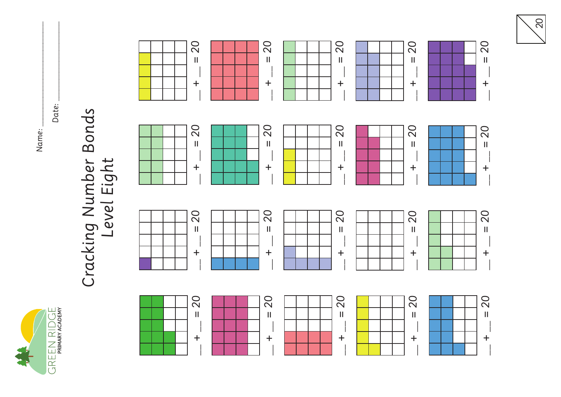GREEN RIDGE

Name: \_\_\_\_\_\_\_\_\_\_\_\_\_\_\_\_\_\_\_\_\_\_\_\_\_\_\_\_\_ Date: \_\_\_\_\_\_\_\_\_\_\_\_\_\_\_\_\_\_\_\_\_\_

## Cracking Number Bonds Level Eight



20

 $- + - = 20$   $- + - = 20$   $- + - = 20$ 

20

 $\mathbf{||}$ 

 $\pm$ 

20

 $\mathbf{I}$ 

 $\ddot{}$ 

20

 $\overline{\mathbf{H}}$ 

 $+$ 

20

 $\overline{\mathbf{u}}$ 

 $+$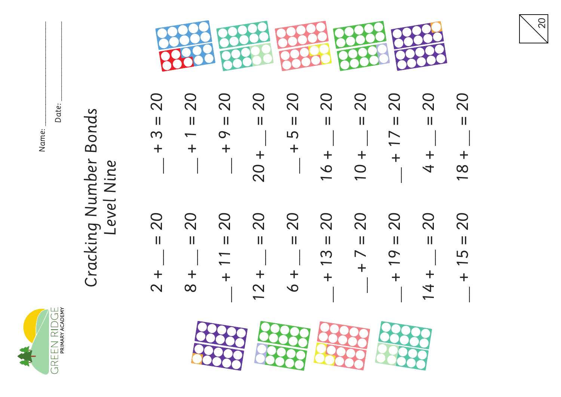

Date: \_\_\_\_\_\_\_\_\_\_\_\_\_\_\_\_\_\_\_\_\_\_

#### Cracking Number Bonds Cracking Number Bonds Level Nine Level Nine



| $\bullet$         | $\bigcirc$  | $\bigcirc$        | $\bigcirc$ | $\bigcirc$    | $\bigcirc$    | $\bigcirc$   | $\cup$         | $\cup$         | $\bigcirc$        |
|-------------------|-------------|-------------------|------------|---------------|---------------|--------------|----------------|----------------|-------------------|
| $\mathbf{\Omega}$ | $\mathbf N$ | $\mathbf{\Omega}$ | $\sim$     | $\sim$        | $\sim$        | $\sim$       | $\mathbf N$    | $\sim$         | $\mathbf{\Omega}$ |
| $\mathsf{I}$      | Ш           | Ш                 | Ш          | Ш             | II.           | $\mathbf{H}$ | Ш              | Ш              | Ш                 |
| m                 |             | $\mathbf \Omega$  | $\sim$ 1   | $\frac{1}{5}$ |               | $\mathbb{R}$ | $\overline{1}$ |                |                   |
|                   |             |                   |            |               |               |              |                |                |                   |
|                   |             |                   |            |               |               |              |                |                |                   |
|                   |             |                   |            |               | $\frac{6}{1}$ | $\bigcirc$   | $\mathbb{R}$   | $\overline{t}$ | $\frac{8}{1}$     |
|                   |             |                   |            |               |               |              |                |                |                   |





 $-$  + 15 = 20

 $\ddot{\phantom{1}}$ 

 $\overline{5}$ 

 $\frac{1}{2}$ 

20